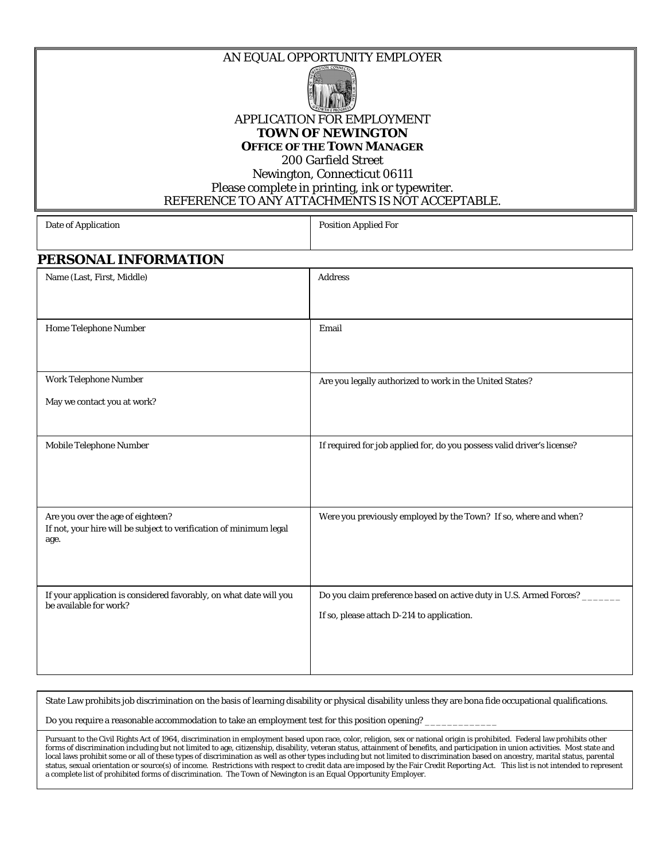AN EQUAL OPPORTUNITY EMPLOYER



APPLICATION FOR EMPLOYMENT **TOWN OF NEWINGTON** 

**OFFICE OF THE TOWN MANAGER**

200 Garfield Street

Newington, Connecticut 06111 Please complete in printing, ink or typewriter. REFERENCE TO ANY ATTACHMENTS IS NOT ACCEPTABLE.

| Date of Application |  |
|---------------------|--|
|                     |  |

Position Applied For

## **PERSONAL INFORMATION**

| Name (Last, First, Middle)                                                                                      | <b>Address</b>                                                                                                     |
|-----------------------------------------------------------------------------------------------------------------|--------------------------------------------------------------------------------------------------------------------|
| Home Telephone Number                                                                                           | Email                                                                                                              |
| Work Telephone Number                                                                                           | Are you legally authorized to work in the United States?                                                           |
| May we contact you at work?                                                                                     |                                                                                                                    |
| Mobile Telephone Number                                                                                         | If required for job applied for, do you possess valid driver's license?                                            |
| Are you over the age of eighteen?<br>If not, your hire will be subject to verification of minimum legal<br>age. | Were you previously employed by the Town? If so, where and when?                                                   |
| If your application is considered favorably, on what date will you<br>be available for work?                    | Do you claim preference based on active duty in U.S. Armed Forces? _<br>If so, please attach D-214 to application. |

State Law prohibits job discrimination on the basis of learning disability or physical disability unless they are bona fide occupational qualifications. Do you require a reasonable accommodation to take an employment test for this position opening?

Pursuant to the Civil Rights Act of 1964, discrimination in employment based upon race, color, religion, sex or national origin is prohibited. Federal law prohibits other forms of discrimination including but not limited to age, citizenship, disability, veteran status, attainment of benefits, and participation in union activities. Most state and local laws prohibit some or all of these types of discrimination as well as other types including but not limited to discrimination based on ancestry, marital status, parental status, sexual orientation or source(s) of income. Restrictions with respect to credit data are imposed by the Fair Credit Reporting Act. This list is not intended to represent a complete list of prohibited forms of discrimination. The Town of Newington is an Equal Opportunity Employer.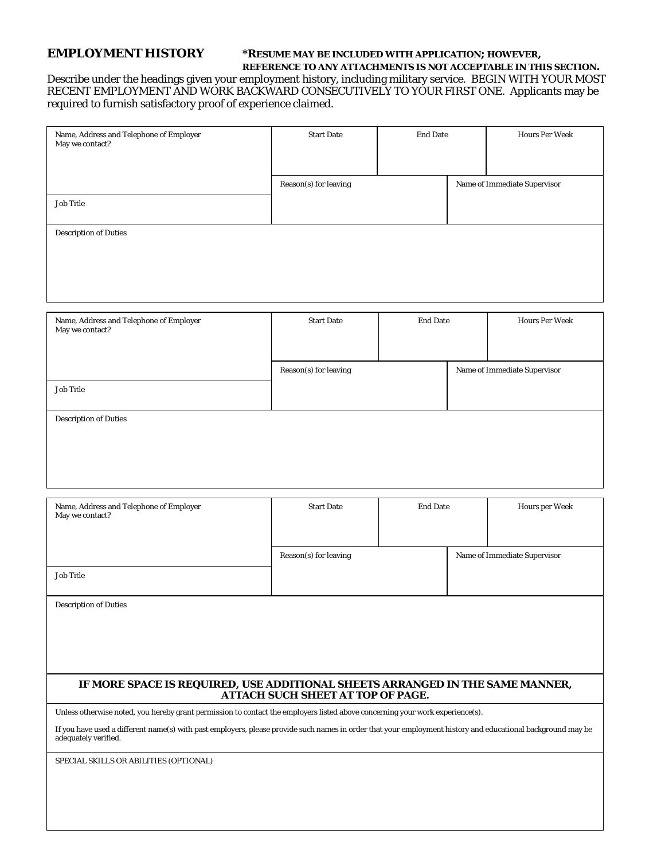#### **EMPLOYMENT HISTORY \*RESUME MAY BE INCLUDED WITH APPLICATION; HOWEVER, REFERENCE TO ANY ATTACHMENTS IS NOT ACCEPTABLE IN THIS SECTION.**

Describe under the headings given your employment history, including military service. BEGIN WITH YOUR MOST RECENT EMPLOYMENT AND WORK BACKWARD CONSECUTIVELY TO YOUR FIRST ONE. Applicants may be required to furnish satisfactory proof of experience claimed.

| Name, Address and Telephone of Employer May we contact? $\,$ | <b>Start Date</b>     | <b>End Date</b> | <b>Hours Per Week</b>        |
|--------------------------------------------------------------|-----------------------|-----------------|------------------------------|
|                                                              | Reason(s) for leaving |                 | Name of Immediate Supervisor |
| <b>Job Title</b>                                             |                       |                 |                              |
| <b>Description of Duties</b>                                 |                       |                 |                              |
|                                                              |                       |                 |                              |
|                                                              |                       |                 |                              |
|                                                              |                       |                 |                              |
| Name, Address and Telephone of Employer<br>May we contact?   | <b>Start Date</b>     | <b>End Date</b> | <b>Hours Per Week</b>        |
|                                                              | Reason(s) for leaving |                 | Name of Immediate Supervisor |
| <b>Job Title</b>                                             |                       |                 |                              |
| <b>Description of Duties</b>                                 |                       |                 |                              |
|                                                              |                       |                 |                              |
|                                                              |                       |                 |                              |
|                                                              |                       |                 |                              |
| Name, Address and Telephone of Employer<br>May we contact?   | <b>Start Date</b>     | <b>End Date</b> | <b>Hours per Week</b>        |

| Name, Address and Telephone of Employer<br>May we contact?                                                                                                                          | <b>Start Date</b>                        | <b>End Date</b> | Hours per Week               |
|-------------------------------------------------------------------------------------------------------------------------------------------------------------------------------------|------------------------------------------|-----------------|------------------------------|
|                                                                                                                                                                                     | Reason(s) for leaving                    |                 | Name of Immediate Supervisor |
| <b>Job Title</b>                                                                                                                                                                    |                                          |                 |                              |
| <b>Description of Duties</b>                                                                                                                                                        |                                          |                 |                              |
|                                                                                                                                                                                     |                                          |                 |                              |
|                                                                                                                                                                                     |                                          |                 |                              |
|                                                                                                                                                                                     |                                          |                 |                              |
| IF MORE SPACE IS REQUIRED, USE ADDITIONAL SHEETS ARRANGED IN THE SAME MANNER,                                                                                                       | <b>ATTACH SUCH SHEET AT TOP OF PAGE.</b> |                 |                              |
| Unless otherwise noted, you hereby grant permission to contact the employers listed above concerning your work experience(s).                                                       |                                          |                 |                              |
| If you have used a different name(s) with past employers, please provide such names in order that your employment history and educational background may be<br>adequately verified. |                                          |                 |                              |
| SPECIAL SKILLS OR ABILITIES (OPTIONAL)                                                                                                                                              |                                          |                 |                              |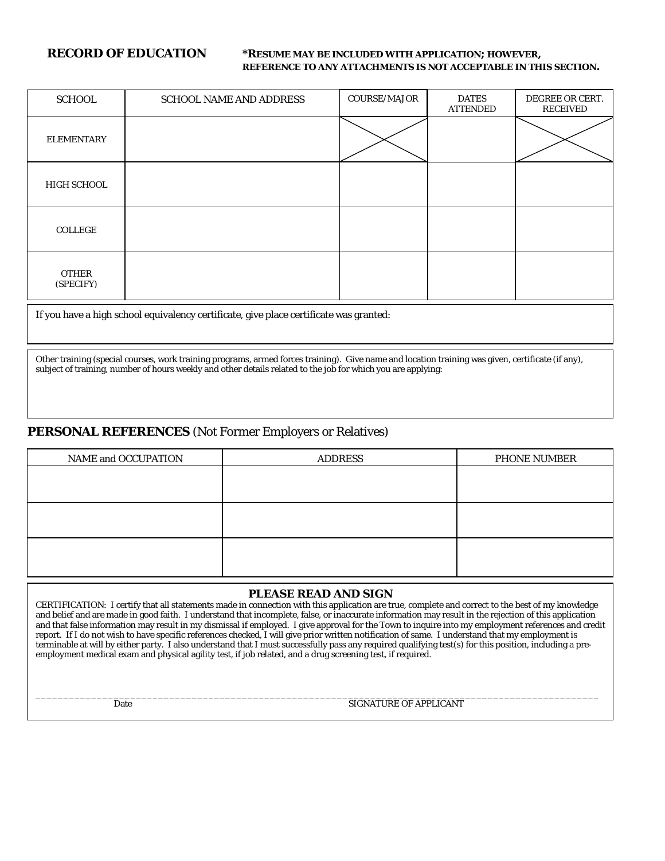#### **RECORD OF EDUCATION \*RESUME MAY BE INCLUDED WITH APPLICATION; HOWEVER, REFERENCE TO ANY ATTACHMENTS IS NOT ACCEPTABLE IN THIS SECTION.**

| <b>SCHOOL</b>             | <b>SCHOOL NAME AND ADDRESS</b> | <b>COURSE/MAJOR</b> | <b>DATES</b><br><b>ATTENDED</b> | DEGREE OR CERT.<br><b>RECEIVED</b> |
|---------------------------|--------------------------------|---------------------|---------------------------------|------------------------------------|
| <b>ELEMENTARY</b>         |                                |                     |                                 |                                    |
| HIGH SCHOOL               |                                |                     |                                 |                                    |
| COLLEGE                   |                                |                     |                                 |                                    |
| <b>OTHER</b><br>(SPECIFY) |                                |                     |                                 |                                    |

If you have a high school equivalency certificate, give place certificate was granted:

Other training (special courses, work training programs, armed forces training). Give name and location training was given, certificate (if any), subject of training, number of hours weekly and other details related to the job for which you are applying:

#### **PERSONAL REFERENCES** (Not Former Employers or Relatives)

| NAME and OCCUPATION | <b>ADDRESS</b> | <b>PHONE NUMBER</b> |
|---------------------|----------------|---------------------|
|                     |                |                     |
|                     |                |                     |
|                     |                |                     |
|                     |                |                     |
|                     |                |                     |
|                     |                |                     |

#### **PLEASE READ AND SIGN**

CERTIFICATION: I certify that all statements made in connection with this application are true, complete and correct to the best of my knowledge and belief and are made in good faith. I understand that incomplete, false, or inaccurate information may result in the rejection of this application and that false information may result in my dismissal if employed. I give approval for the Town to inquire into my employment references and credit report. If I do not wish to have specific references checked, I will give prior written notification of same. I understand that my employment is terminable at will by either party. I also understand that I must successfully pass any required qualifying test(s) for this position, including a preemployment medical exam and physical agility test, if job related, and a drug screening test, if required.

\_\_\_\_\_\_\_\_\_\_\_\_\_\_\_\_\_\_\_\_\_\_\_\_\_\_\_\_\_\_\_\_\_\_\_\_\_\_\_\_\_\_\_\_\_\_\_\_\_\_\_\_\_\_\_\_\_\_\_\_\_\_\_\_\_\_\_\_\_\_\_\_\_\_\_\_\_\_\_\_\_\_\_\_\_\_\_\_\_\_\_\_\_\_\_\_\_\_\_\_\_

Date SIGNATURE OF APPLICANT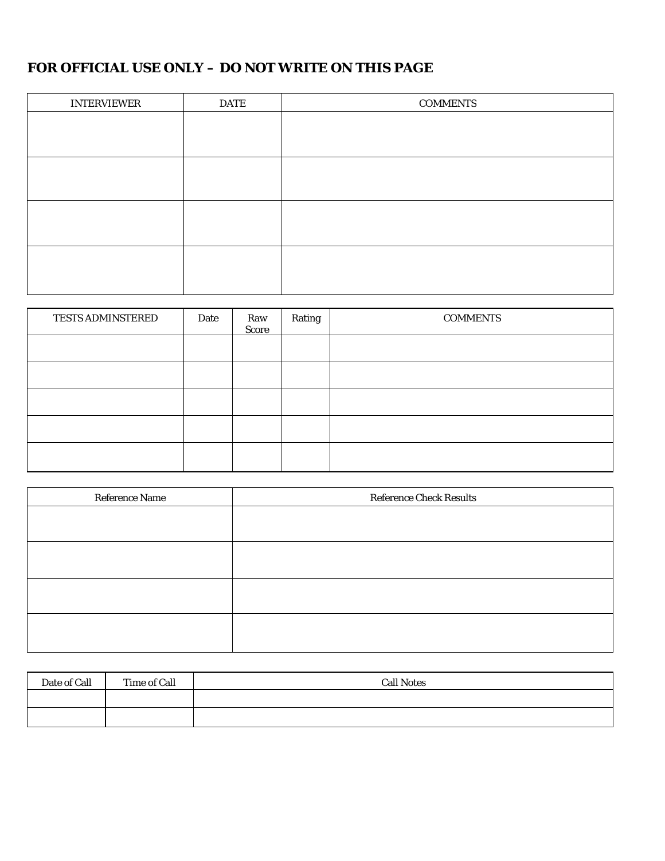## **FOR OFFICIAL USE ONLY – DO NOT WRITE ON THIS PAGE**

| <b>INTERVIEWER</b> | <b>DATE</b> | <b>COMMENTS</b> |
|--------------------|-------------|-----------------|
|                    |             |                 |
|                    |             |                 |
|                    |             |                 |
|                    |             |                 |
|                    |             |                 |
|                    |             |                 |
|                    |             |                 |
|                    |             |                 |

| <b>TESTS ADMINSTERED</b> | Date | Raw<br>Score | Rating | <b>COMMENTS</b> |
|--------------------------|------|--------------|--------|-----------------|
|                          |      |              |        |                 |
|                          |      |              |        |                 |
|                          |      |              |        |                 |
|                          |      |              |        |                 |
|                          |      |              |        |                 |

| Reference Name | <b>Reference Check Results</b> |
|----------------|--------------------------------|
|                |                                |
|                |                                |
|                |                                |
|                |                                |
|                |                                |
|                |                                |
|                |                                |
|                |                                |

| Date of Call | Time of Call | <b>Call Notes</b> |
|--------------|--------------|-------------------|
|              |              |                   |
|              |              |                   |